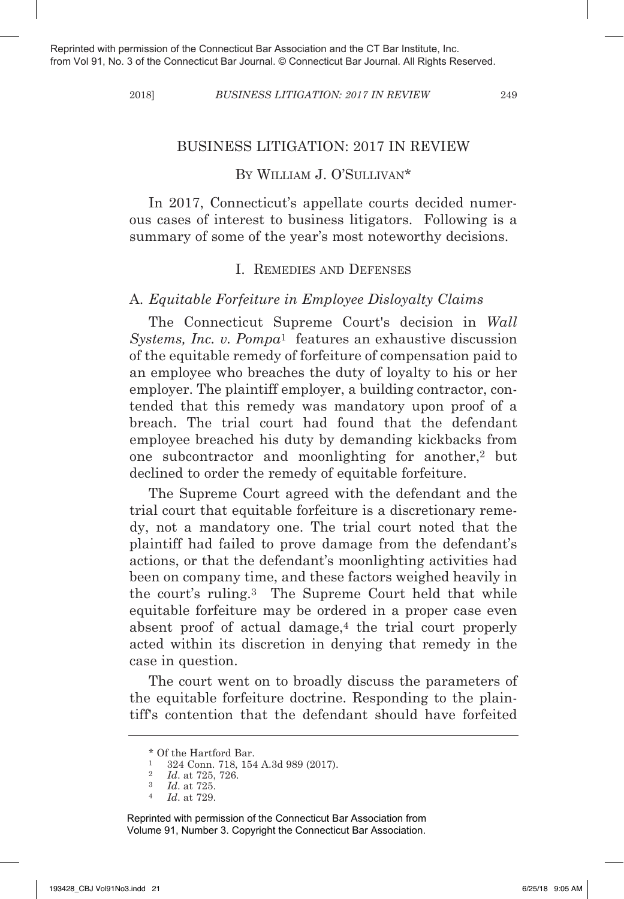#### 2018] *BuSineSS litiGation: 2017 in review* 249

#### BUsINEss LITIGATION: 2017 IN REVIEW

# BY WILLIAM J. O'SULLIVAN\*

In 2017, Connecticut's appellate courts decided numerous cases of interest to business litigators. Following is a summary of some of the year's most noteworthy decisions.

### I. REmEdIEs ANd dEFENsEs

### A. *equitable Forfeiture in employee Disloyalty claims*

The Connecticut Supreme Court's decision in *Wall Systems, inc. v. pompa*<sup>1</sup> features an exhaustive discussion of the equitable remedy of forfeiture of compensation paid to an employee who breaches the duty of loyalty to his or her employer. The plaintiff employer, a building contractor, contended that this remedy was mandatory upon proof of a breach. The trial court had found that the defendant employee breached his duty by demanding kickbacks from one subcontractor and moonlighting for another,2 but declined to order the remedy of equitable forfeiture.

The Supreme Court agreed with the defendant and the trial court that equitable forfeiture is a discretionary remedy, not a mandatory one. The trial court noted that the plaintiff had failed to prove damage from the defendant's actions, or that the defendant's moonlighting activities had been on company time, and these factors weighed heavily in the court's ruling.<sup>3</sup> The Supreme Court held that while equitable forfeiture may be ordered in a proper case even absent proof of actual damage,<sup>4</sup> the trial court properly acted within its discretion in denying that remedy in the case in question.

The court went on to broadly discuss the parameters of the equitable forfeiture doctrine. Responding to the plaintiff's contention that the defendant should have forfeited

<sup>\*</sup> Of the Hartford Bar.

<sup>1</sup> 324 Conn. 718, 154 A.3d 989 (2017).

<sup>2</sup> *id*. at 725, 726.

<sup>3</sup> *id*. at 725.

<sup>4</sup> *id*. at 729.

Reprinted with permission of the Connecticut Bar Association from Volume 91, Number 3. Copyright the Connecticut Bar Association.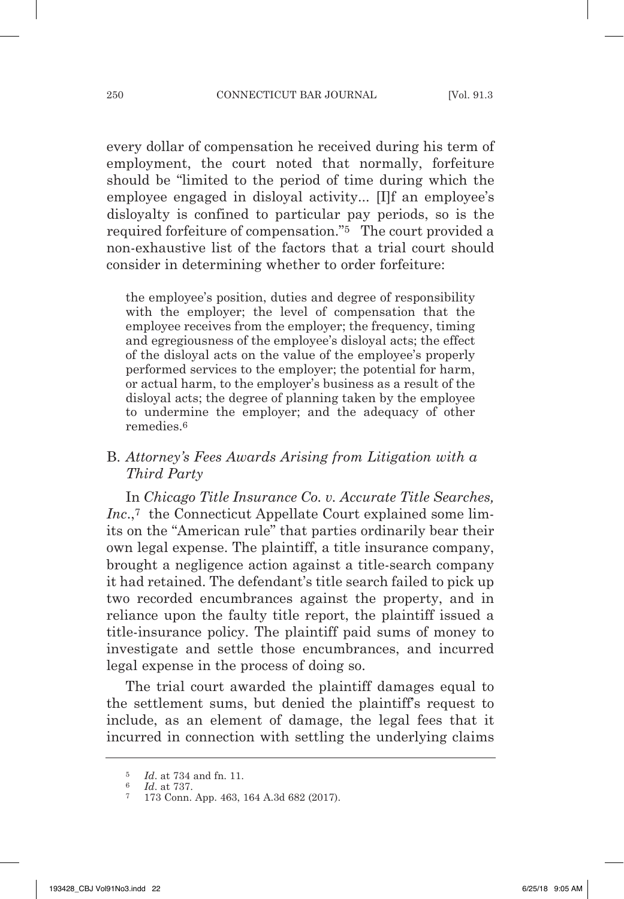every dollar of compensation he received during his term of employment, the court noted that normally, forfeiture should be "limited to the period of time during which the employee engaged in disloyal activity... [I]f an employee's disloyalty is confined to particular pay periods, so is the required forfeiture of compensation."5 The court provided a non-exhaustive list of the factors that a trial court should consider in determining whether to order forfeiture:

the employee's position, duties and degree of responsibility with the employer; the level of compensation that the employee receives from the employer; the frequency, timing and egregiousness of the employee's disloyal acts; the effect of the disloyal acts on the value of the employee's properly performed services to the employer; the potential for harm, or actual harm, to the employer's business as a result of the disloyal acts; the degree of planning taken by the employee to undermine the employer; and the adequacy of other remedies.6

## B. *attorney's Fees awards arising from litigation with a third party*

In *chicago title insurance co. v. accurate title Searches, Inc.*,<sup>7</sup> the Connecticut Appellate Court explained some limits on the "American rule" that parties ordinarily bear their own legal expense. The plaintiff, a title insurance company, brought a negligence action against a title-search company it had retained. The defendant's title search failed to pick up two recorded encumbrances against the property, and in reliance upon the faulty title report, the plaintiff issued a title-insurance policy. The plaintiff paid sums of money to investigate and settle those encumbrances, and incurred legal expense in the process of doing so.

The trial court awarded the plaintiff damages equal to the settlement sums, but denied the plaintiff's request to include, as an element of damage, the legal fees that it incurred in connection with settling the underlying claims

<sup>5</sup> *id*. at 734 and fn. 11.

<sup>6</sup> *id*. at 737.

<sup>7</sup> 173 Conn. App. 463, 164 A.3d 682 (2017).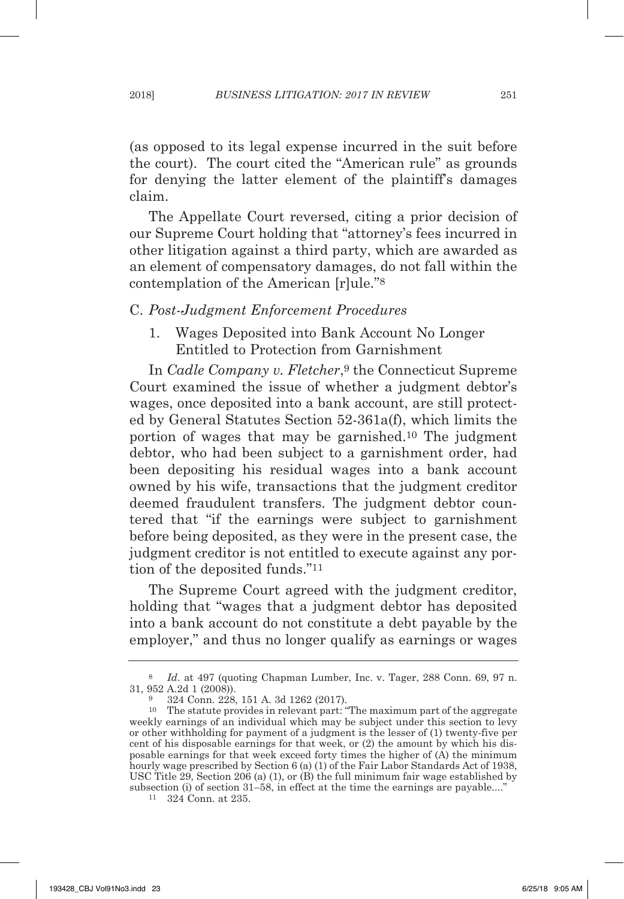(as opposed to its legal expense incurred in the suit before the court). The court cited the "American rule" as grounds for denying the latter element of the plaintiff's damages claim.

The Appellate Court reversed, citing a prior decision of our Supreme Court holding that "attorney's fees incurred in other litigation against a third party, which are awarded as an element of compensatory damages, do not fall within the contemplation of the American [r]ule."8

#### C. *post-Judgment enforcement procedures*

1. Wages Deposited into Bank Account No Longer Entitled to Protection from Garnishment

In *Cadle Company v. Fletcher*,<sup>9</sup> the Connecticut Supreme Court examined the issue of whether a judgment debtor's wages, once deposited into a bank account, are still protected by General Statutes Section 52-361a(f), which limits the portion of wages that may be garnished.10 The judgment debtor, who had been subject to a garnishment order, had been depositing his residual wages into a bank account owned by his wife, transactions that the judgment creditor deemed fraudulent transfers. The judgment debtor countered that "if the earnings were subject to garnishment before being deposited, as they were in the present case, the judgment creditor is not entitled to execute against any portion of the deposited funds."11

The Supreme Court agreed with the judgment creditor, holding that "wages that a judgment debtor has deposited into a bank account do not constitute a debt payable by the employer," and thus no longer qualify as earnings or wages

<sup>11</sup> 324 Conn. at 235.

<sup>8</sup> *id*. at 497 (quoting Chapman Lumber, Inc. v. Tager, 288 Conn. 69, 97 n. 31, 952 A.2d 1 (2008)).

<sup>9</sup> 324 Conn. 228, 151 A. 3d 1262 (2017).

<sup>10</sup> The statute provides in relevant part: "The maximum part of the aggregate weekly earnings of an individual which may be subject under this section to levy or other withholding for payment of a judgment is the lesser of (1) twenty-five per cent of his disposable earnings for that week, or (2) the amount by which his disposable earnings for that week exceed forty times the higher of (A) the minimum hourly wage prescribed by Section  $6 \times (1)$  of the Fair Labor Standards Act of 1938, UsC Title 29, section 206 (a) (1), or (B) the full minimum fair wage established by subsection (i) of section 31–58, in effect at the time the earnings are payable...."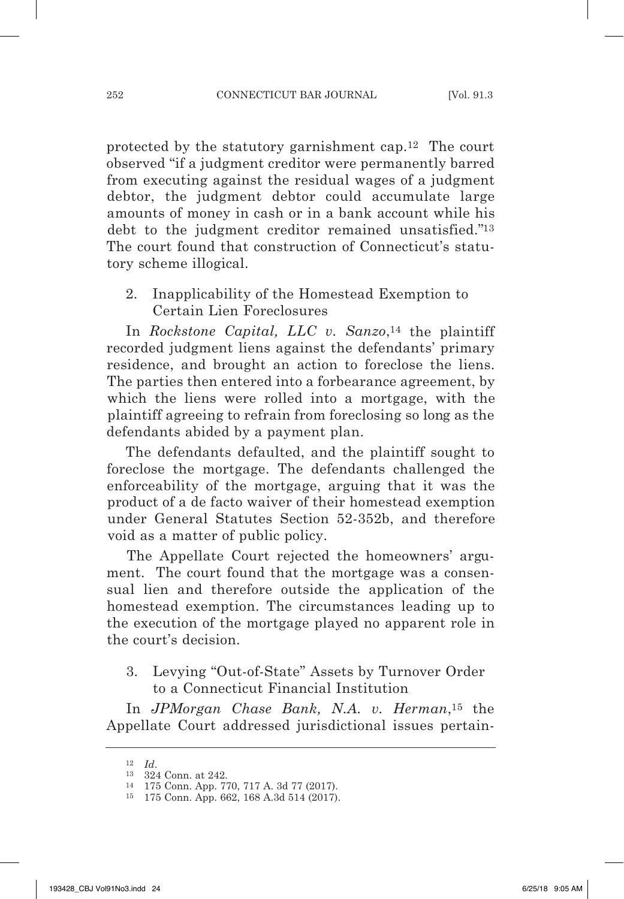protected by the statutory garnishment cap.12 The court observed "if a judgment creditor were permanently barred from executing against the residual wages of a judgment debtor, the judgment debtor could accumulate large amounts of money in cash or in a bank account while his debt to the judgment creditor remained unsatisfied."13 The court found that construction of Connecticut's statutory scheme illogical.

2. Inapplicability of the Homestead Exemption to Certain Lien Foreclosures

In *Rockstone Capital, LLC v. Sanzo*,<sup>14</sup> the plaintiff recorded judgment liens against the defendants' primary residence, and brought an action to foreclose the liens. The parties then entered into a forbearance agreement, by which the liens were rolled into a mortgage, with the plaintiff agreeing to refrain from foreclosing so long as the defendants abided by a payment plan.

The defendants defaulted, and the plaintiff sought to foreclose the mortgage. The defendants challenged the enforceability of the mortgage, arguing that it was the product of a de facto waiver of their homestead exemption under General statutes section 52-352b, and therefore void as a matter of public policy.

The Appellate Court rejected the homeowners' argument. The court found that the mortgage was a consensual lien and therefore outside the application of the homestead exemption. The circumstances leading up to the execution of the mortgage played no apparent role in the court's decision.

3. Levying "Out-of-state" Assets by Turnover Order to a Connecticut Financial Institution

In *JpMorgan chase Bank, n.a. v. Herman*,15 the Appellate Court addressed jurisdictional issues pertain-

 $^{12}\quad$   $\!Id.$   $\!$   $\!$  324 Conn. at 242.

<sup>14</sup> 175 Conn. App. 770, 717 A. 3d 77 (2017).

<sup>15</sup> 175 Conn. App. 662, 168 A.3d 514 (2017).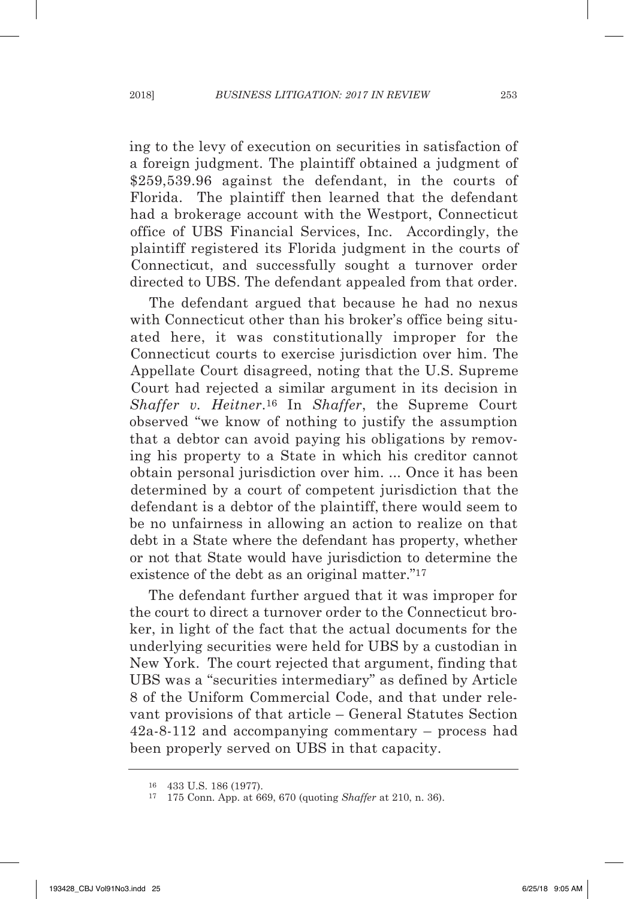ing to the levy of execution on securities in satisfaction of a foreign judgment. The plaintiff obtained a judgment of \$259,539.96 against the defendant, in the courts of Florida. The plaintiff then learned that the defendant had a brokerage account with the Westport, Connecticut office of UBs Financial services, Inc. Accordingly, the plaintiff registered its Florida judgment in the courts of Connecticut, and successfully sought a turnover order directed to UBs. The defendant appealed from that order.

The defendant argued that because he had no nexus with Connecticut other than his broker's office being situated here, it was constitutionally improper for the Connecticut courts to exercise jurisdiction over him. The Appellate Court disagreed, noting that the U.S. Supreme Court had rejected a similar argument in its decision in *Shaffer v. Heitner*.16 In *Shaffer*, the supreme Court observed "we know of nothing to justify the assumption that a debtor can avoid paying his obligations by removing his property to a state in which his creditor cannot obtain personal jurisdiction over him. ... Once it has been determined by a court of competent jurisdiction that the defendant is a debtor of the plaintiff, there would seem to be no unfairness in allowing an action to realize on that debt in a State where the defendant has property, whether or not that state would have jurisdiction to determine the existence of the debt as an original matter."17

The defendant further argued that it was improper for the court to direct a turnover order to the Connecticut broker, in light of the fact that the actual documents for the underlying securities were held for UBs by a custodian in New York. The court rejected that argument, finding that UBs was a "securities intermediary" as defined by Article 8 of the Uniform Commercial Code, and that under relevant provisions of that article – General Statutes Section 42a-8-112 and accompanying commentary – process had been properly served on UBs in that capacity.

<sup>16</sup> 433 U.s. 186 (1977). 17 175 Conn. App. at 669, 670 (quoting *Shaffer* at 210, n. 36).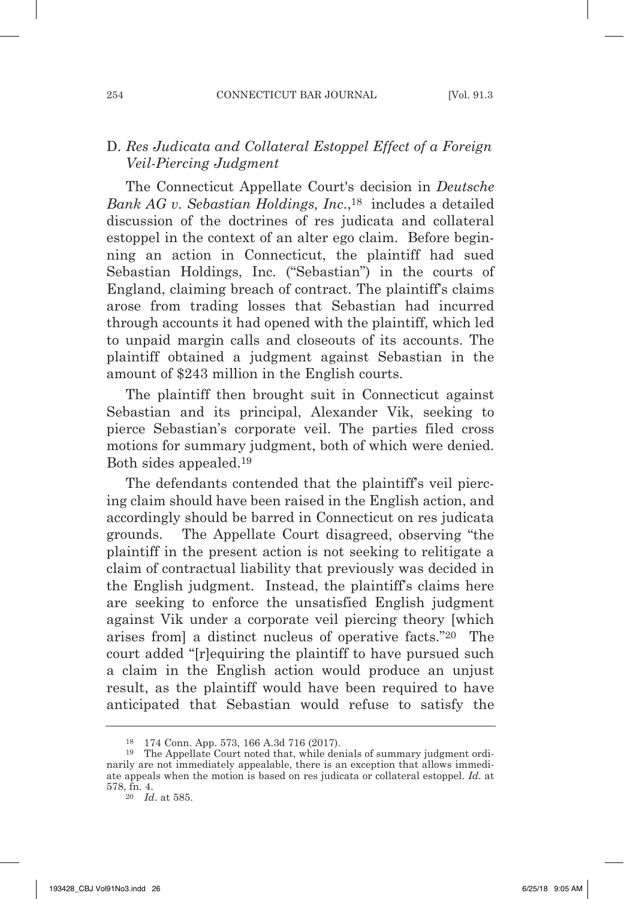## D. Res Judicata and Collateral Estoppel Effect of a Foreign *veil-piercing Judgment*

The Connecticut Appellate Court's decision in *Deutsche Bank aG v. Sebastian Holdings, inc*.,18 includes a detailed discussion of the doctrines of res judicata and collateral estoppel in the context of an alter ego claim. Before beginning an action in Connecticut, the plaintiff had sued sebastian Holdings, Inc. ("sebastian") in the courts of England, claiming breach of contract. The plaintiff's claims arose from trading losses that sebastian had incurred through accounts it had opened with the plaintiff, which led to unpaid margin calls and closeouts of its accounts. The plaintiff obtained a judgment against sebastian in the amount of \$243 million in the English courts.

The plaintiff then brought suit in Connecticut against sebastian and its principal, Alexander Vik, seeking to pierce sebastian's corporate veil. The parties filed cross motions for summary judgment, both of which were denied. Both sides appealed.19

The defendants contended that the plaintiff's veil piercing claim should have been raised in the English action, and accordingly should be barred in Connecticut on res judicata grounds. The Appellate Court disagreed, observing "the plaintiff in the present action is not seeking to relitigate a claim of contractual liability that previously was decided in the English judgment. Instead, the plaintiff's claims here are seeking to enforce the unsatisfied English judgment against Vik under a corporate veil piercing theory [which arises from] a distinct nucleus of operative facts."20 The court added "[r]equiring the plaintiff to have pursued such a claim in the English action would produce an unjust result, as the plaintiff would have been required to have anticipated that sebastian would refuse to satisfy the

<sup>&</sup>lt;sup>18</sup> 174 Conn. App. 573, 166 A.3d 716 (2017).<br><sup>19</sup> The Appellate Court noted that, while denials of summary judgment ordinarily are not immediately appealable, there is an exception that allows immediate appeals when the motion is based on res judicata or collateral estoppel. *id*. at 578, fn. 4.

<sup>20</sup> *id*. at 585.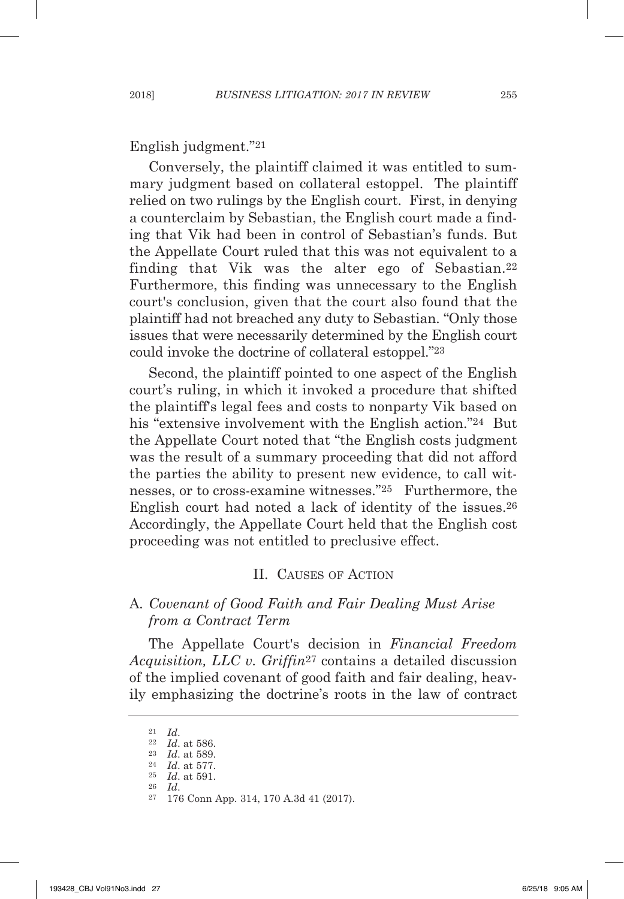English judgment."21

Conversely, the plaintiff claimed it was entitled to summary judgment based on collateral estoppel. The plaintiff relied on two rulings by the English court. First, in denying a counterclaim by sebastian, the English court made a finding that Vik had been in control of sebastian's funds. But the Appellate Court ruled that this was not equivalent to a finding that Vik was the alter ego of Sebastian.<sup>22</sup> Furthermore, this finding was unnecessary to the English court's conclusion, given that the court also found that the plaintiff had not breached any duty to Sebastian. "Only those issues that were necessarily determined by the English court could invoke the doctrine of collateral estoppel."23

second, the plaintiff pointed to one aspect of the English court's ruling, in which it invoked a procedure that shifted the plaintiff's legal fees and costs to nonparty Vik based on his "extensive involvement with the English action."<sup>24</sup> But the Appellate Court noted that "the English costs judgment was the result of a summary proceeding that did not afford the parties the ability to present new evidence, to call witnesses, or to cross-examine witnesses."25 Furthermore, the English court had noted a lack of identity of the issues.26 Accordingly, the Appellate Court held that the English cost proceeding was not entitled to preclusive effect.

#### II. CAUsEs OF ACTION

## A*. covenant of Good Faith and Fair Dealing Must arise from a Contract Term*

The Appellate Court's decision in *Financial Freedom acquisition, llc v. Griffin*<sup>27</sup> contains a detailed discussion of the implied covenant of good faith and fair dealing, heavily emphasizing the doctrine's roots in the law of contract

<sup>21</sup> *id*. 22 *id*. at 586.

<sup>23</sup> *id*. at 589.

<sup>24</sup> *id*. at 577. <sup>25</sup> *id*. at 591.

<sup>26</sup> *id*. 27 176 Conn App. 314, 170 A.3d 41 (2017).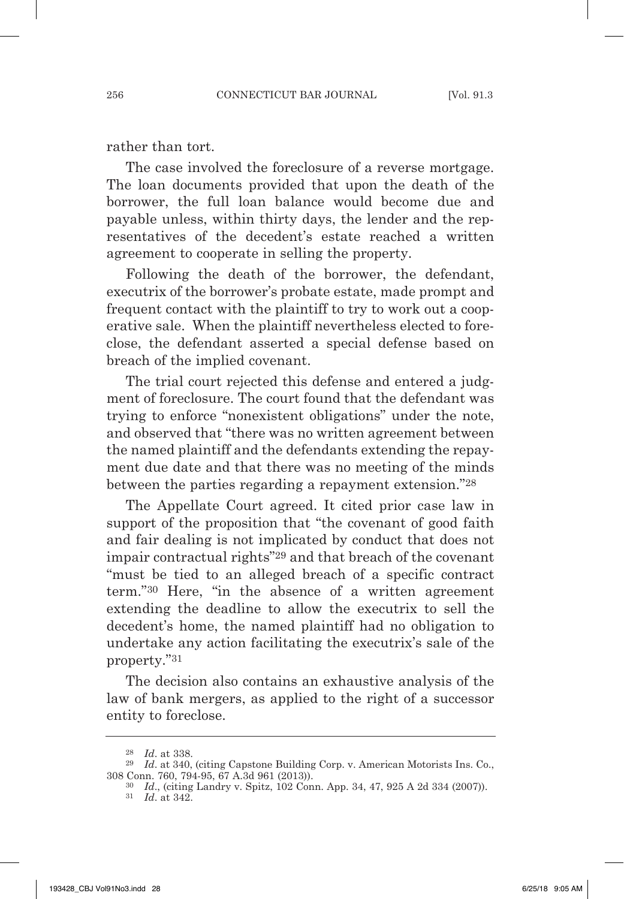rather than tort.

The case involved the foreclosure of a reverse mortgage. The loan documents provided that upon the death of the borrower, the full loan balance would become due and payable unless, within thirty days, the lender and the representatives of the decedent's estate reached a written agreement to cooperate in selling the property.

Following the death of the borrower, the defendant, executrix of the borrower's probate estate, made prompt and frequent contact with the plaintiff to try to work out a cooperative sale. When the plaintiff nevertheless elected to foreclose, the defendant asserted a special defense based on breach of the implied covenant.

The trial court rejected this defense and entered a judgment of foreclosure. The court found that the defendant was trying to enforce "nonexistent obligations" under the note, and observed that "there was no written agreement between the named plaintiff and the defendants extending the repayment due date and that there was no meeting of the minds between the parties regarding a repayment extension."28

The Appellate Court agreed. It cited prior case law in support of the proposition that "the covenant of good faith and fair dealing is not implicated by conduct that does not impair contractual rights"29 and that breach of the covenant "must be tied to an alleged breach of a specific contract term."30 Here, "in the absence of a written agreement extending the deadline to allow the executrix to sell the decedent's home, the named plaintiff had no obligation to undertake any action facilitating the executrix's sale of the property."31

The decision also contains an exhaustive analysis of the law of bank mergers, as applied to the right of a successor entity to foreclose.

<sup>28</sup> *id*. at 338.

<sup>&</sup>lt;sup>29</sup> *Id.* at 340, (citing Capstone Building Corp. v. American Motorists Ins. Co., 308 Conn. 760, 794-95, 67 A.3d 961 (2013)).

<sup>30</sup> *id*., (citing Landry v. spitz, 102 Conn. App. 34, 47, 925 A 2d 334 (2007)).

<sup>31</sup> *id*. at 342.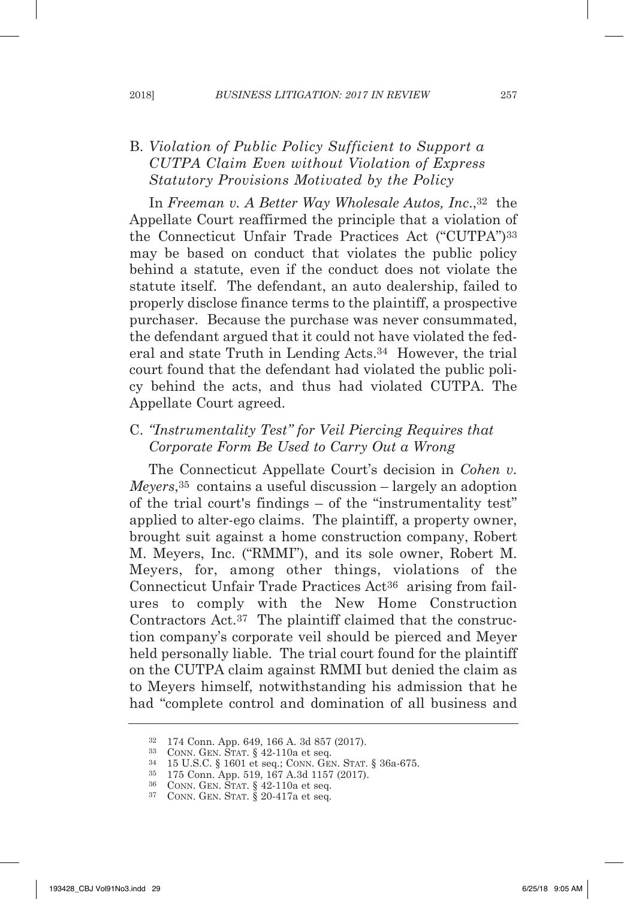# B. *violation of public policy Sufficient to Support a cutpa claim even without violation of express Statutory provisions Motivated by the policy*

In *Freeman v. A Better Way Wholesale Autos, Inc.*,<sup>32</sup> the Appellate Court reaffirmed the principle that a violation of the Connecticut Unfair Trade Practices Act ("CUTPA")33 may be based on conduct that violates the public policy behind a statute, even if the conduct does not violate the statute itself. The defendant, an auto dealership, failed to properly disclose finance terms to the plaintiff, a prospective purchaser. Because the purchase was never consummated, the defendant argued that it could not have violated the federal and state Truth in Lending Acts.34 However, the trial court found that the defendant had violated the public policy behind the acts, and thus had violated CUTPA. The Appellate Court agreed.

C. "Instrumentality Test" for Veil Piercing Requires that *corporate Form Be used to carry out a wrong*

The Connecticut Appellate Court's decision in *cohen v. Meyers*,35 contains a useful discussion – largely an adoption of the trial court's findings – of the "instrumentality test" applied to alter-ego claims. The plaintiff, a property owner, brought suit against a home construction company, Robert m. meyers, Inc. ("RmmI"), and its sole owner, Robert m. meyers, for, among other things, violations of the Connecticut Unfair Trade Practices Act36 arising from failures to comply with the New Home Construction Contractors Act.37 The plaintiff claimed that the construction company's corporate veil should be pierced and meyer held personally liable. The trial court found for the plaintiff on the CUTPA claim against RmmI but denied the claim as to meyers himself, notwithstanding his admission that he had "complete control and domination of all business and

<sup>32</sup> 174 Conn. App. 649, 166 A. 3d 857 (2017).

 $33$  CONN. GEN. STAT.  $\S$  42-110a et seq.

<sup>34</sup> 15 U.s.C. § 1601 et seq.; CONN. GEN. sTAT. § 36a-675.

<sup>35</sup> 175 Conn. App. 519, 167 A.3d 1157 (2017).

 $36$  CONN. GEN. STAT. § 42-110a et seq.

 $37$  CONN. GEN. STAT.  $\S 20-417a$  et seq.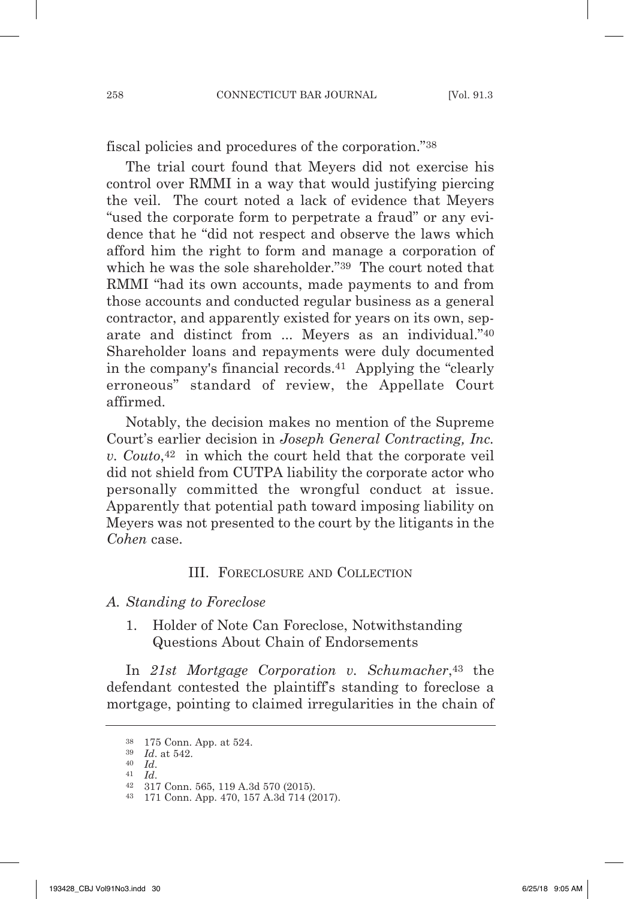fiscal policies and procedures of the corporation."38

The trial court found that meyers did not exercise his control over RmmI in a way that would justifying piercing the veil. The court noted a lack of evidence that meyers "used the corporate form to perpetrate a fraud" or any evidence that he "did not respect and observe the laws which afford him the right to form and manage a corporation of which he was the sole shareholder."<sup>39</sup> The court noted that RMMI "had its own accounts, made payments to and from those accounts and conducted regular business as a general contractor, and apparently existed for years on its own, separate and distinct from ... meyers as an individual."40 shareholder loans and repayments were duly documented in the company's financial records.41 Applying the "clearly erroneous" standard of review, the Appellate Court affirmed.

Notably, the decision makes no mention of the Supreme Court's earlier decision in *Joseph General contracting, inc. v. couto*,42 in which the court held that the corporate veil did not shield from CUTPA liability the corporate actor who personally committed the wrongful conduct at issue. Apparently that potential path toward imposing liability on meyers was not presented to the court by the litigants in the *cohen* case.

#### III. FORECLOsURE ANd COLLECTION

#### *a. Standing to Foreclose*

1. Holder of Note Can Foreclose, Notwithstanding Questions About Chain of Endorsements

In *21st Mortgage corporation v. Schumacher*,43 the defendant contested the plaintiff's standing to foreclose a mortgage, pointing to claimed irregularities in the chain of

- <sup>40</sup> *id*.
- <sup>41</sup> *id*.

<sup>38</sup> 175 Conn. App. at 524.

<sup>39</sup> *id*. at 542.

<sup>42</sup> 317 Conn. 565, 119 A.3d 570 (2015).

<sup>43</sup> 171 Conn. App. 470, 157 A.3d 714 (2017).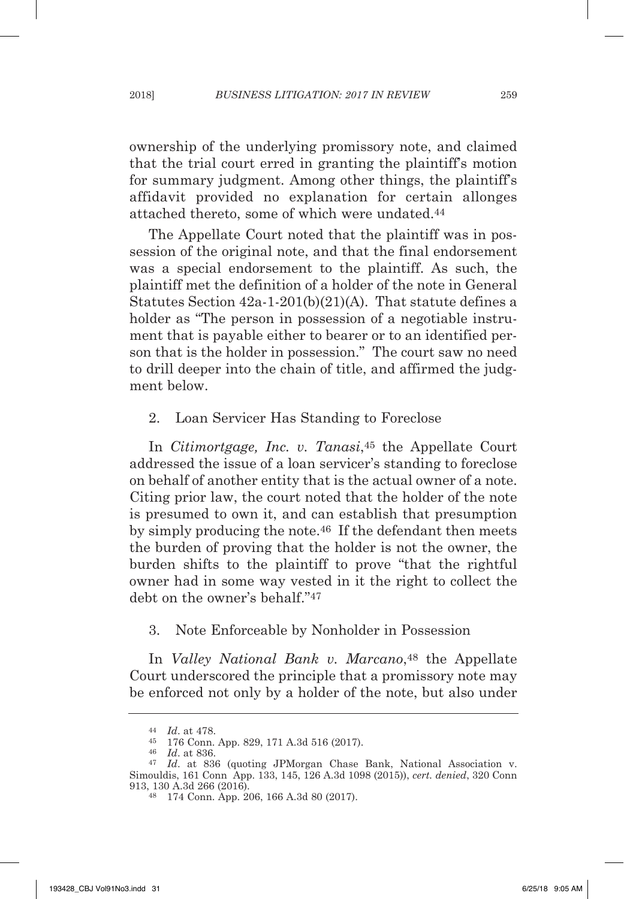ownership of the underlying promissory note, and claimed that the trial court erred in granting the plaintiff's motion for summary judgment. Among other things, the plaintiff's affidavit provided no explanation for certain allonges attached thereto, some of which were undated.44

The Appellate Court noted that the plaintiff was in possession of the original note, and that the final endorsement was a special endorsement to the plaintiff. As such, the plaintiff met the definition of a holder of the note in General statutes section 42a-1-201(b)(21)(A). That statute defines a holder as "The person in possession of a negotiable instrument that is payable either to bearer or to an identified person that is the holder in possession." The court saw no need to drill deeper into the chain of title, and affirmed the judgment below.

### 2. Loan Servicer Has Standing to Foreclose

In *Citimortgage, Inc. v. Tanasi*,<sup>45</sup> the Appellate Court addressed the issue of a loan servicer's standing to foreclose on behalf of another entity that is the actual owner of a note. Citing prior law, the court noted that the holder of the note is presumed to own it, and can establish that presumption by simply producing the note.46 If the defendant then meets the burden of proving that the holder is not the owner, the burden shifts to the plaintiff to prove "that the rightful owner had in some way vested in it the right to collect the debt on the owner's behalf."47

## 3. Note Enforceable by Nonholder in Possession

In *Valley National Bank v. Marcano*<sup>48</sup> the Appellate Court underscored the principle that a promissory note may be enforced not only by a holder of the note, but also under

<sup>46</sup> *id*. at 836.

<sup>44</sup> *id*. at 478.

<sup>45</sup> 176 Conn. App. 829, 171 A.3d 516 (2017).

<sup>47</sup> *id*. at 836 (quoting JPmorgan Chase Bank, National Association v. simouldis, 161 Conn App. 133, 145, 126 A.3d 1098 (2015)), *cert. denied*, 320 Conn 913, 130 A.3d 266 (2016).

<sup>48</sup> 174 Conn. App. 206, 166 A.3d 80 (2017).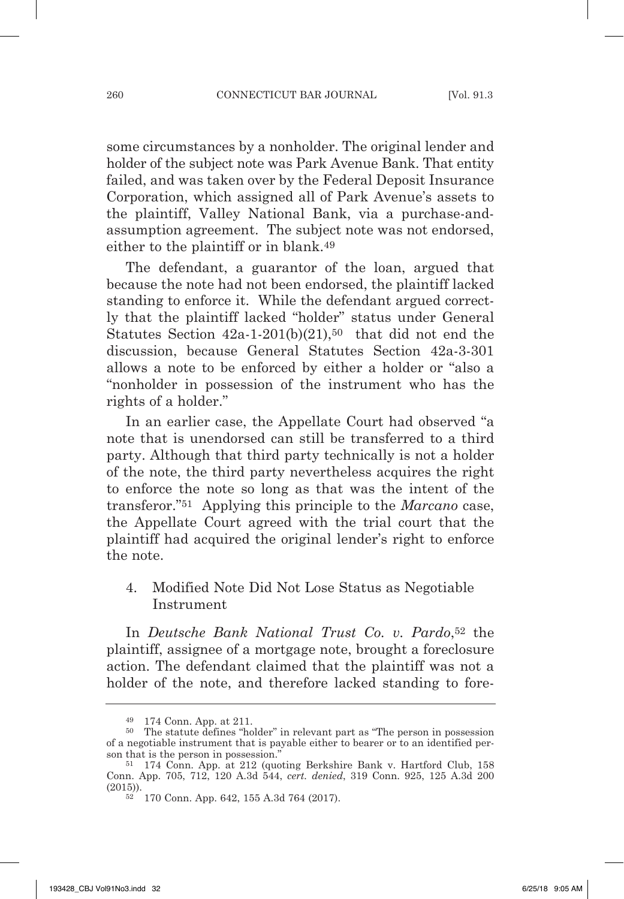some circumstances by a nonholder. The original lender and holder of the subject note was Park Avenue Bank. That entity failed, and was taken over by the Federal Deposit Insurance Corporation, which assigned all of Park Avenue's assets to the plaintiff, Valley National Bank, via a purchase-andassumption agreement. The subject note was not endorsed, either to the plaintiff or in blank.49

The defendant, a guarantor of the loan, argued that because the note had not been endorsed, the plaintiff lacked standing to enforce it. While the defendant argued correctly that the plaintiff lacked "holder" status under General Statutes Section  $42a-1-201(b)(21)$ ,<sup>50</sup> that did not end the discussion, because General Statutes Section 42a-3-301 allows a note to be enforced by either a holder or "also a "nonholder in possession of the instrument who has the rights of a holder."

In an earlier case, the Appellate Court had observed "a note that is unendorsed can still be transferred to a third party. Although that third party technically is not a holder of the note, the third party nevertheless acquires the right to enforce the note so long as that was the intent of the transferor."51 Applying this principle to the *Marcano* case, the Appellate Court agreed with the trial court that the plaintiff had acquired the original lender's right to enforce the note.

4. Modified Note Did Not Lose Status as Negotiable Instrument

In *Deutsche Bank national trust co. v. pardo*,52 the plaintiff, assignee of a mortgage note, brought a foreclosure action. The defendant claimed that the plaintiff was not a holder of the note, and therefore lacked standing to fore-

<sup>49</sup> 174 Conn. App. at 211.

<sup>50</sup> The statute defines "holder" in relevant part as "The person in possession of a negotiable instrument that is payable either to bearer or to an identified person that is the person in possession."

<sup>51</sup> 174 Conn. App. at 212 (quoting Berkshire Bank v. Hartford Club, 158 Conn. App. 705, 712, 120 A.3d 544, *cert. denied*, 319 Conn. 925, 125 A.3d 200 (2015)).

<sup>52</sup> 170 Conn. App. 642, 155 A.3d 764 (2017).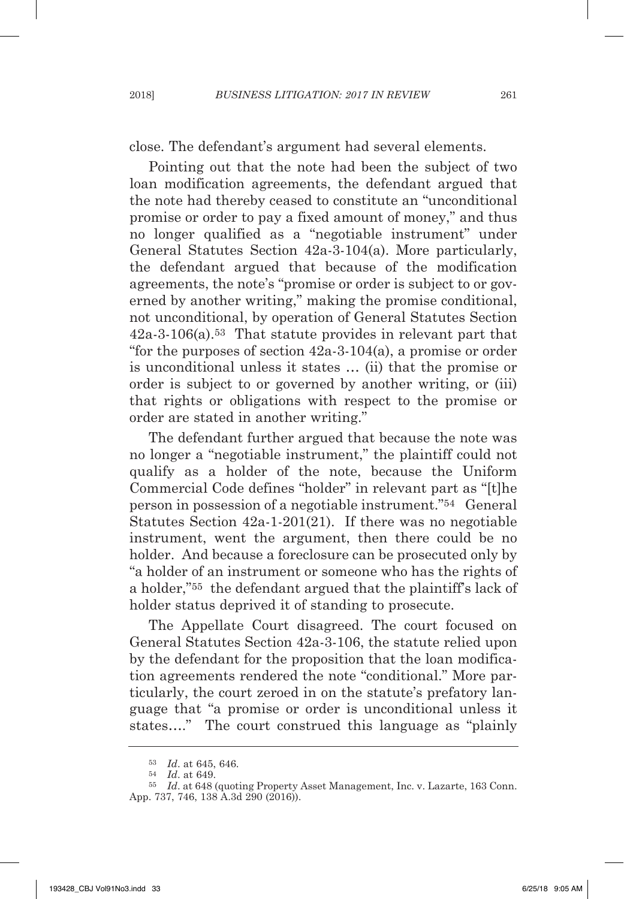close. The defendant's argument had several elements.

Pointing out that the note had been the subject of two loan modification agreements, the defendant argued that the note had thereby ceased to constitute an "unconditional promise or order to pay a fixed amount of money," and thus no longer qualified as a "negotiable instrument" under General statutes section 42a-3-104(a). more particularly, the defendant argued that because of the modification agreements, the note's "promise or order is subject to or governed by another writing," making the promise conditional, not unconditional, by operation of General statutes section 42a-3-106(a).53 That statute provides in relevant part that "for the purposes of section 42a-3-104(a), a promise or order is unconditional unless it states … (ii) that the promise or order is subject to or governed by another writing, or (iii) that rights or obligations with respect to the promise or order are stated in another writing."

The defendant further argued that because the note was no longer a "negotiable instrument," the plaintiff could not qualify as a holder of the note, because the Uniform Commercial Code defines "holder" in relevant part as "[t]he person in possession of a negotiable instrument."54 General statutes section 42a-1-201(21). If there was no negotiable instrument, went the argument, then there could be no holder. And because a foreclosure can be prosecuted only by "a holder of an instrument or someone who has the rights of a holder,"55 the defendant argued that the plaintiff's lack of holder status deprived it of standing to prosecute.

The Appellate Court disagreed. The court focused on General statutes section 42a-3-106, the statute relied upon by the defendant for the proposition that the loan modification agreements rendered the note "conditional." more particularly, the court zeroed in on the statute's prefatory language that "a promise or order is unconditional unless it states…." The court construed this language as "plainly

<sup>53</sup> *id*. at 645, 646.

<sup>54</sup> *id*. at 649.

<sup>55</sup> *id*. at 648 (quoting Property Asset management, Inc. v. Lazarte, 163 Conn. App. 737, 746, 138 A.3d 290 (2016)).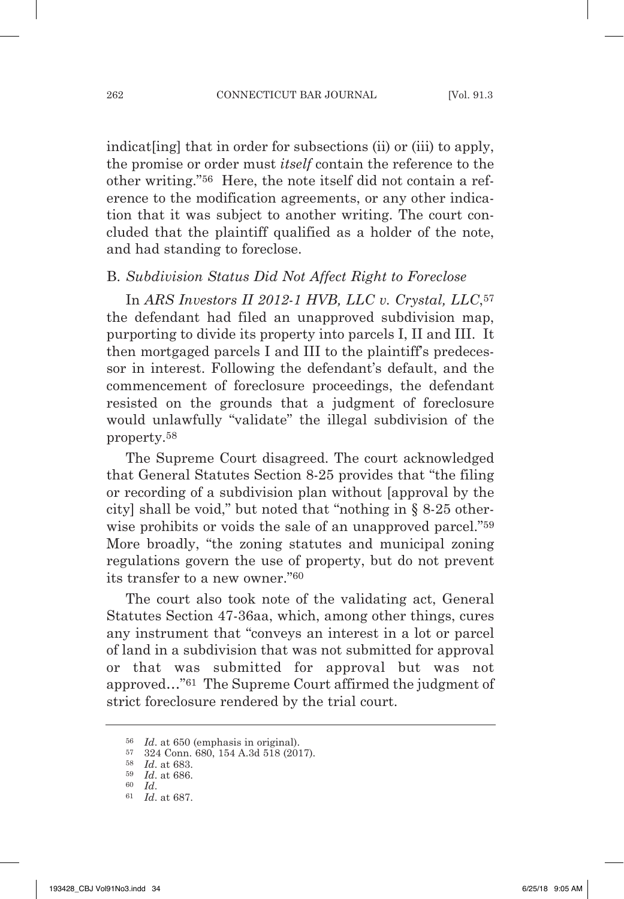indicate ingleption of the indication of the indication of the study of the study. the promise or order must *itself* contain the reference to the other writing."56 Here, the note itself did not contain a reference to the modification agreements, or any other indication that it was subject to another writing. The court concluded that the plaintiff qualified as a holder of the note, and had standing to foreclose.

#### B. Subdivision Status Did Not Affect Right to Foreclose

In *arS investors ii 2012-1 HvB, llc v. crystal, llc*,57 the defendant had filed an unapproved subdivision map, purporting to divide its property into parcels I, II and III. It then mortgaged parcels I and III to the plaintiff's predecessor in interest. Following the defendant's default, and the commencement of foreclosure proceedings, the defendant resisted on the grounds that a judgment of foreclosure would unlawfully "validate" the illegal subdivision of the property.58

The Supreme Court disagreed. The court acknowledged that General statutes section 8-25 provides that "the filing or recording of a subdivision plan without [approval by the city] shall be void," but noted that "nothing in § 8-25 otherwise prohibits or voids the sale of an unapproved parcel."59 More broadly, "the zoning statutes and municipal zoning" regulations govern the use of property, but do not prevent its transfer to a new owner."60

The court also took note of the validating act, General statutes section 47-36aa, which, among other things, cures any instrument that "conveys an interest in a lot or parcel of land in a subdivision that was not submitted for approval or that was submitted for approval but was not approved..."<sup>61</sup> The Supreme Court affirmed the judgment of strict foreclosure rendered by the trial court.

<sup>56</sup> *id*. at 650 (emphasis in original).

<sup>57</sup> 324 Conn. 680, 154 A.3d 518 (2017).

<sup>58</sup> *id*. at 683.

<sup>59</sup> *id*. at 686.

<sup>60</sup> *id*. 61 *id*. at 687.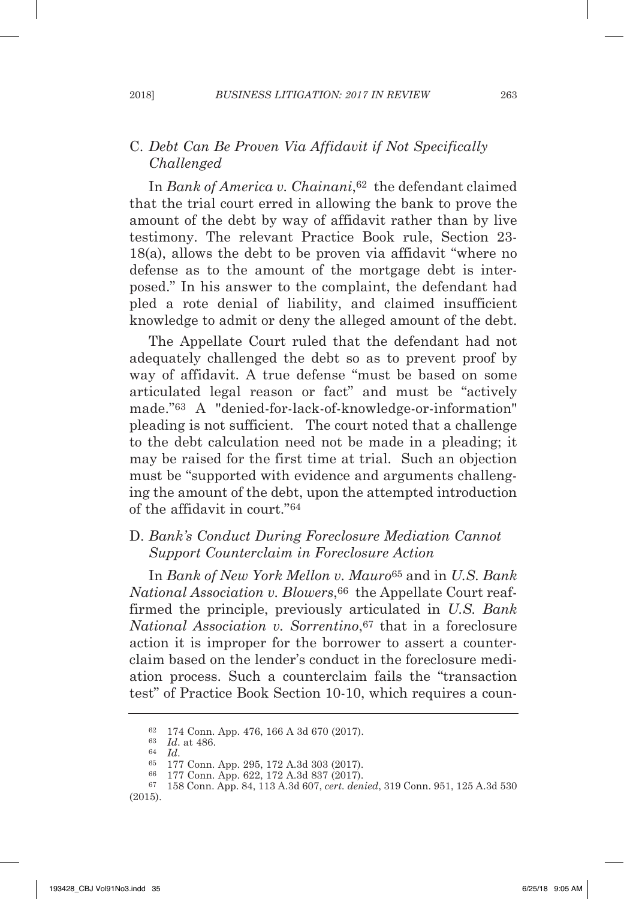## C. *Debt can Be proven via affidavit if not Specifically challenged*

In *Bank of America v. Chainani*,<sup>62</sup> the defendant claimed that the trial court erred in allowing the bank to prove the amount of the debt by way of affidavit rather than by live testimony. The relevant Practice Book rule, Section 23-18(a), allows the debt to be proven via affidavit "where no defense as to the amount of the mortgage debt is interposed." In his answer to the complaint, the defendant had pled a rote denial of liability, and claimed insufficient knowledge to admit or deny the alleged amount of the debt.

The Appellate Court ruled that the defendant had not adequately challenged the debt so as to prevent proof by way of affidavit. A true defense "must be based on some articulated legal reason or fact" and must be "actively made."63 A "denied-for-lack-of-knowledge-or-information" pleading is not sufficient. The court noted that a challenge to the debt calculation need not be made in a pleading; it may be raised for the first time at trial. Such an objection must be "supported with evidence and arguments challenging the amount of the debt, upon the attempted introduction of the affidavit in court."64

## D. Bank's Conduct During Foreclosure Mediation Cannot *Support counterclaim in Foreclosure action*

In *Bank of new York Mellon v. Mauro*<sup>65</sup> and in *u.S. Bank National Association v. Blowers*, <sup>66</sup> the Appellate Court reaffirmed the principle, previously articulated in *u.S. Bank national association v. Sorrentino*,67 that in a foreclosure action it is improper for the borrower to assert a counterclaim based on the lender's conduct in the foreclosure mediation process. such a counterclaim fails the "transaction test" of Practice Book section 10-10, which requires a coun-

<sup>63</sup> *id*. at 486.

<sup>62</sup> 174 Conn. App. 476, 166 A 3d 670 (2017).

<sup>&</sup>lt;sup>65</sup> 177 Conn. App. 295, 172 A.3d 303 (2017).<br><sup>66</sup> 177 Conn. App. 622, 172 A.3d 837 (2017).

<sup>66</sup> 177 Conn. App. 622, 172 A.3d 837 (2017). 67 158 Conn. App. 84, 113 A.3d 607, *cert. denied*, 319 Conn. 951, 125 A.3d 530 (2015).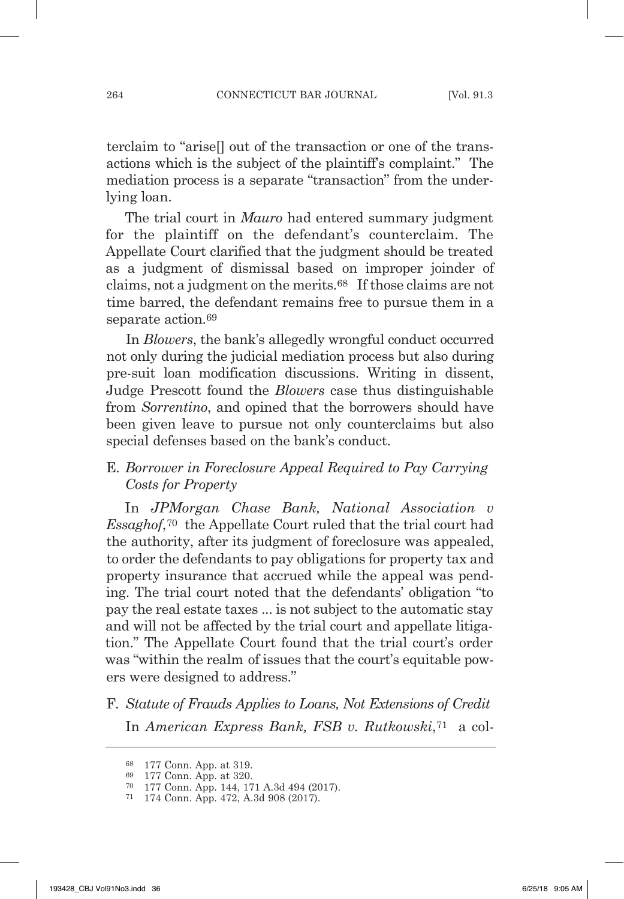terclaim to "arise[] out of the transaction or one of the transactions which is the subject of the plaintiff's complaint." The mediation process is a separate "transaction" from the underlying loan.

The trial court in *Mauro* had entered summary judgment for the plaintiff on the defendant's counterclaim. The Appellate Court clarified that the judgment should be treated as a judgment of dismissal based on improper joinder of claims, not a judgment on the merits.68 If those claims are not time barred, the defendant remains free to pursue them in a separate action.69

In *Blowers*, the bank's allegedly wrongful conduct occurred not only during the judicial mediation process but also during pre-suit loan modification discussions. Writing in dissent, Judge Prescott found the *Blowers* case thus distinguishable from *Sorrentino*, and opined that the borrowers should have been given leave to pursue not only counterclaims but also special defenses based on the bank's conduct.

## E. *Borrower in Foreclosure Appeal Required to Pay Carrying costs for property*

In *JpMorgan chase Bank, national association v Essaghof*,<sup>70</sup> the Appellate Court ruled that the trial court had the authority, after its judgment of foreclosure was appealed, to order the defendants to pay obligations for property tax and property insurance that accrued while the appeal was pending. The trial court noted that the defendants' obligation "to pay the real estate taxes ... is not subject to the automatic stay and will not be affected by the trial court and appellate litigation." The Appellate Court found that the trial court's order was "within the realm of issues that the court's equitable powers were designed to address."

F. *Statute of Frauds Applies to Loans, Not Extensions of Credit* In *American Express Bank, FSB v. Rutkowski*,<sup>71</sup> a col-

<sup>68</sup> 177 Conn. App. at 319.

<sup>69</sup> 177 Conn. App. at 320.

<sup>70</sup> 177 Conn. App. 144, 171 A.3d 494 (2017).

<sup>71</sup> 174 Conn. App. 472, A.3d 908 (2017).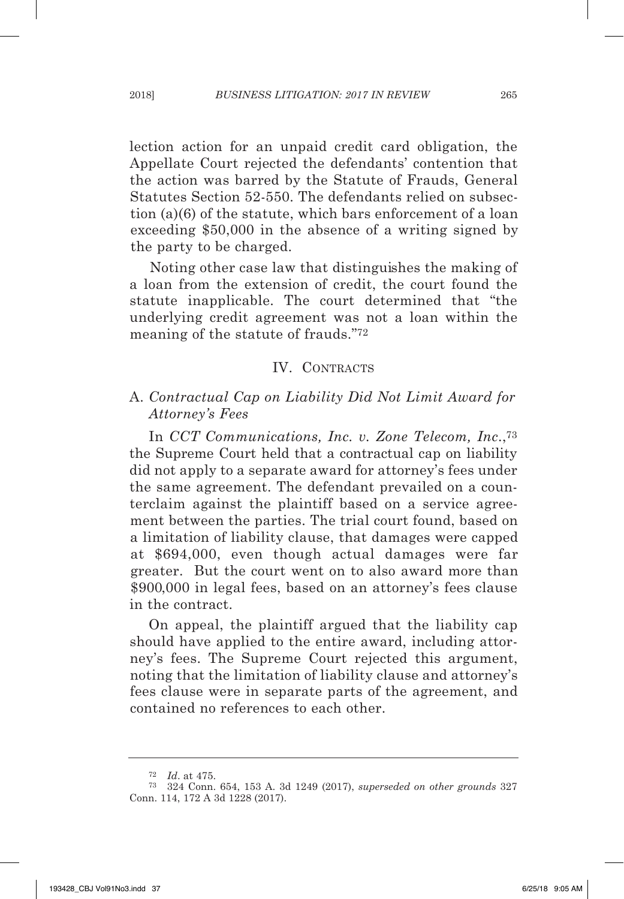lection action for an unpaid credit card obligation, the Appellate Court rejected the defendants' contention that the action was barred by the statute of Frauds, General Statutes Section 52-550. The defendants relied on subsection (a)(6) of the statute, which bars enforcement of a loan exceeding \$50,000 in the absence of a writing signed by the party to be charged.

Noting other case law that distinguishes the making of a loan from the extension of credit, the court found the statute inapplicable. The court determined that "the underlying credit agreement was not a loan within the meaning of the statute of frauds."72

#### IV. CONTRACTs

## A. *contractual cap on liability Did not limit award for attorney's Fees*

In *CCT* Communications, Inc. v. Zone Telecom, Inc.,<sup>73</sup> the Supreme Court held that a contractual cap on liability did not apply to a separate award for attorney's fees under the same agreement. The defendant prevailed on a counterclaim against the plaintiff based on a service agreement between the parties. The trial court found, based on a limitation of liability clause, that damages were capped at \$694,000, even though actual damages were far greater. But the court went on to also award more than \$900,000 in legal fees, based on an attorney's fees clause in the contract.

On appeal, the plaintiff argued that the liability cap should have applied to the entire award, including attorney's fees. The Supreme Court rejected this argument, noting that the limitation of liability clause and attorney's fees clause were in separate parts of the agreement, and contained no references to each other.

<sup>72</sup> *id*. at 475.

<sup>73</sup> 324 Conn. 654, 153 A. 3d 1249 (2017), *superseded on other grounds* 327 Conn. 114, 172 A 3d 1228 (2017).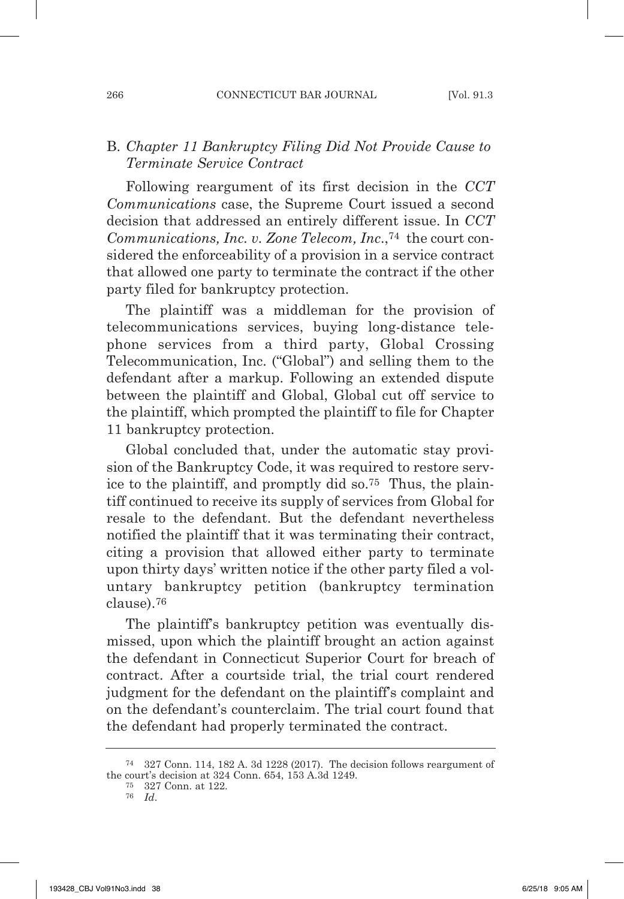# B. *chapter 11 Bankruptcy Filing Did not provide cause to terminate Service contract*

Following reargument of its first decision in the *cct Communications* case, the Supreme Court issued a second decision that addressed an entirely different issue. In *CCT Communications, Inc. v. Zone Telecom, Inc.*,<sup>74</sup> the court considered the enforceability of a provision in a service contract that allowed one party to terminate the contract if the other party filed for bankruptcy protection.

The plaintiff was a middleman for the provision of telecommunications services, buying long-distance telephone services from a third party, Global Crossing Telecommunication, Inc. ("Global") and selling them to the defendant after a markup. Following an extended dispute between the plaintiff and Global, Global cut off service to the plaintiff, which prompted the plaintiff to file for Chapter 11 bankruptcy protection.

Global concluded that, under the automatic stay provision of the Bankruptcy Code, it was required to restore service to the plaintiff, and promptly did so.75 Thus, the plaintiff continued to receive its supply of services from Global for resale to the defendant. But the defendant nevertheless notified the plaintiff that it was terminating their contract, citing a provision that allowed either party to terminate upon thirty days' written notice if the other party filed a voluntary bankruptcy petition (bankruptcy termination clause).76

The plaintiff's bankruptcy petition was eventually dismissed, upon which the plaintiff brought an action against the defendant in Connecticut Superior Court for breach of contract. After a courtside trial, the trial court rendered judgment for the defendant on the plaintiff's complaint and on the defendant's counterclaim. The trial court found that the defendant had properly terminated the contract.

<sup>74</sup> 327 Conn. 114, 182 A. 3d 1228 (2017). The decision follows reargument of the court's decision at 324 Conn. 654, 153 A.3d 1249.

<sup>75</sup> 327 Conn. at 122.

<sup>76</sup> *id*.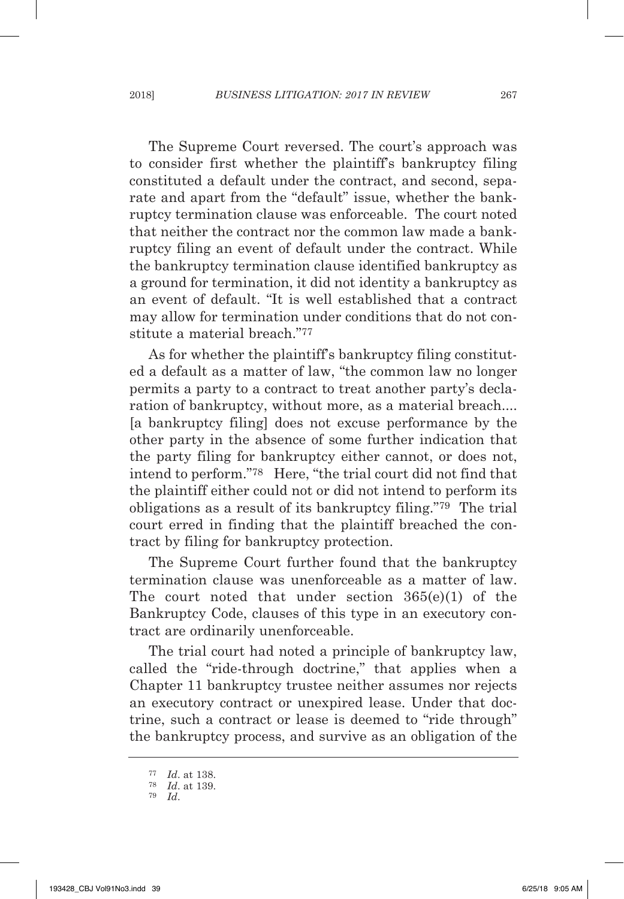The Supreme Court reversed. The court's approach was to consider first whether the plaintiff's bankruptcy filing constituted a default under the contract, and second, separate and apart from the "default" issue, whether the bankruptcy termination clause was enforceable. The court noted that neither the contract nor the common law made a bankruptcy filing an event of default under the contract. While the bankruptcy termination clause identified bankruptcy as a ground for termination, it did not identity a bankruptcy as an event of default. "It is well established that a contract may allow for termination under conditions that do not constitute a material breach."77

As for whether the plaintiff's bankruptcy filing constituted a default as a matter of law, "the common law no longer permits a party to a contract to treat another party's declaration of bankruptcy, without more, as a material breach.... [a bankruptcy filing] does not excuse performance by the other party in the absence of some further indication that the party filing for bankruptcy either cannot, or does not, intend to perform."78 Here, "the trial court did not find that the plaintiff either could not or did not intend to perform its obligations as a result of its bankruptcy filing."79 The trial court erred in finding that the plaintiff breached the contract by filing for bankruptcy protection.

The Supreme Court further found that the bankruptcy termination clause was unenforceable as a matter of law. The court noted that under section 365(e)(1) of the Bankruptcy Code, clauses of this type in an executory contract are ordinarily unenforceable.

The trial court had noted a principle of bankruptcy law, called the "ride-through doctrine," that applies when a Chapter 11 bankruptcy trustee neither assumes nor rejects an executory contract or unexpired lease. Under that doctrine, such a contract or lease is deemed to "ride through" the bankruptcy process, and survive as an obligation of the

<sup>77</sup> *id*. at 138.

<sup>78</sup> *id*. at 139.

<sup>79</sup> *id*.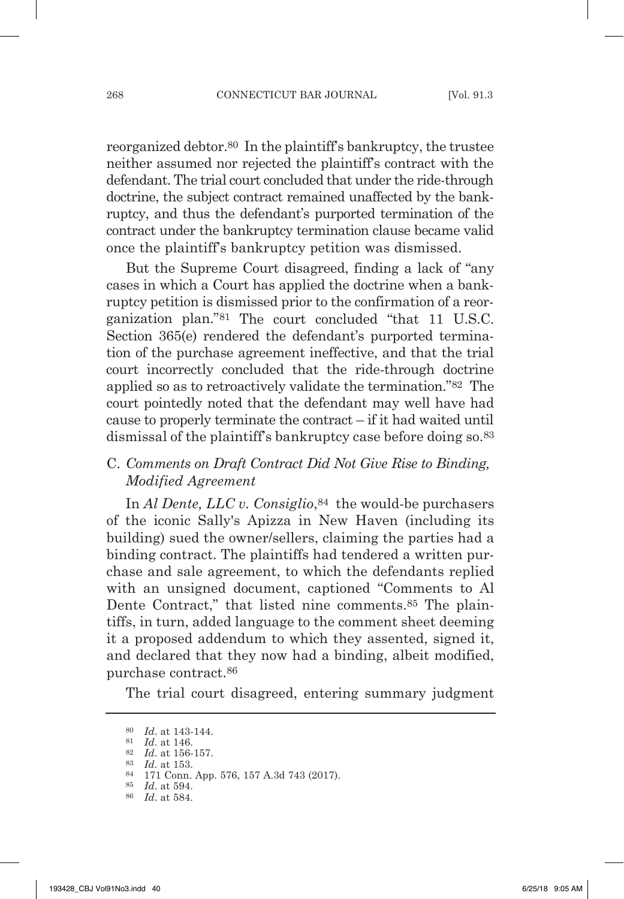reorganized debtor.80 In the plaintiff's bankruptcy, the trustee neither assumed nor rejected the plaintiff's contract with the defendant. The trial court concluded that under the ride-through doctrine, the subject contract remained unaffected by the bankruptcy, and thus the defendant's purported termination of the contract under the bankruptcy termination clause became valid once the plaintiff's bankruptcy petition was dismissed.

But the Supreme Court disagreed, finding a lack of "any cases in which a Court has applied the doctrine when a bankruptcy petition is dismissed prior to the confirmation of a reorganization plan."81 The court concluded "that 11 U.s.C. Section 365(e) rendered the defendant's purported termination of the purchase agreement ineffective, and that the trial court incorrectly concluded that the ride-through doctrine applied so as to retroactively validate the termination."82 The court pointedly noted that the defendant may well have had cause to properly terminate the contract – if it had waited until dismissal of the plaintiff's bankruptcy case before doing so.83

## C. *Comments on Draft Contract Did Not Give Rise to Binding, Modified agreement*

In *Al Dente, LLC v. Consiglio*, <sup>84</sup> the would-be purchasers of the iconic sally's Apizza in New Haven (including its building) sued the owner/sellers, claiming the parties had a binding contract. The plaintiffs had tendered a written purchase and sale agreement, to which the defendants replied with an unsigned document, captioned "Comments to Al Dente Contract," that listed nine comments.<sup>85</sup> The plaintiffs, in turn, added language to the comment sheet deeming it a proposed addendum to which they assented, signed it, and declared that they now had a binding, albeit modified, purchase contract.86

The trial court disagreed, entering summary judgment

<sup>80</sup> *id*. at 143-144.

<sup>81</sup> *id*. at 146.

<sup>82</sup> *id*. at 156-157.

<sup>83</sup> *id*. at 153.

<sup>84</sup> 171 Conn. App. 576, 157 A.3d 743 (2017).

<sup>85</sup> *id*. at 594.

<sup>86</sup> *id*. at 584.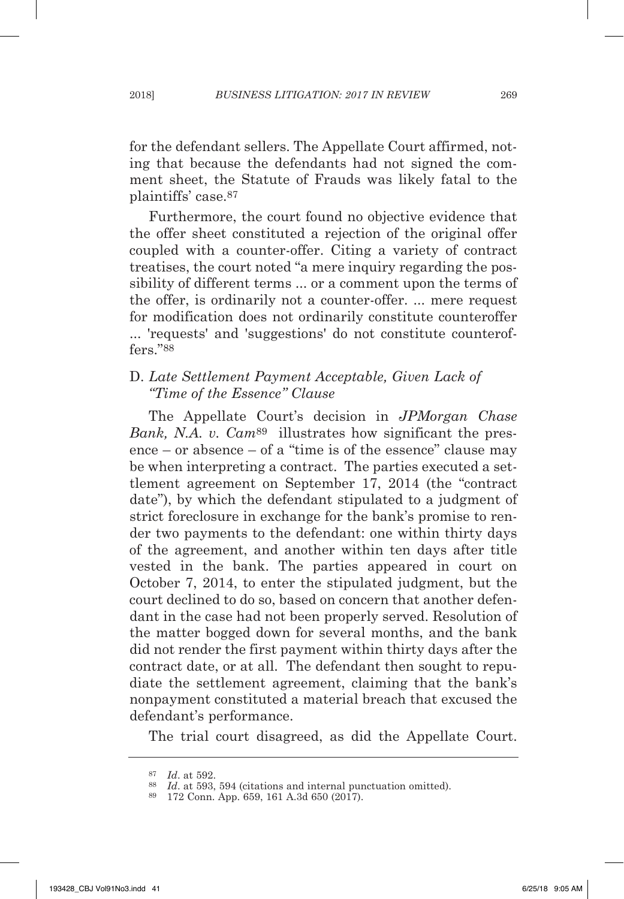for the defendant sellers. The Appellate Court affirmed, noting that because the defendants had not signed the comment sheet, the Statute of Frauds was likely fatal to the plaintiffs' case.87

Furthermore, the court found no objective evidence that the offer sheet constituted a rejection of the original offer coupled with a counter-offer. Citing a variety of contract treatises, the court noted "a mere inquiry regarding the possibility of different terms ... or a comment upon the terms of the offer, is ordinarily not a counter-offer. ... mere request for modification does not ordinarily constitute counteroffer ... 'requests' and 'suggestions' do not constitute counteroffers."88

## d. *late Settlement payment acceptable, Given lack of "Time of the Essence" Clause*

The Appellate Court's decision in *JpMorgan chase Bank, N.A. v. Cam*<sup>89</sup> illustrates how significant the presence – or absence – of a "time is of the essence" clause may be when interpreting a contract. The parties executed a settlement agreement on september 17, 2014 (the "contract date"), by which the defendant stipulated to a judgment of strict foreclosure in exchange for the bank's promise to render two payments to the defendant: one within thirty days of the agreement, and another within ten days after title vested in the bank. The parties appeared in court on October 7, 2014, to enter the stipulated judgment, but the court declined to do so, based on concern that another defendant in the case had not been properly served. Resolution of the matter bogged down for several months, and the bank did not render the first payment within thirty days after the contract date, or at all. The defendant then sought to repudiate the settlement agreement, claiming that the bank's nonpayment constituted a material breach that excused the defendant's performance.

The trial court disagreed, as did the Appellate Court.

<sup>87</sup> *id*. at 592.

<sup>88</sup> *id*. at 593, 594 (citations and internal punctuation omitted).

<sup>89</sup> 172 Conn. App. 659, 161 A.3d 650 (2017).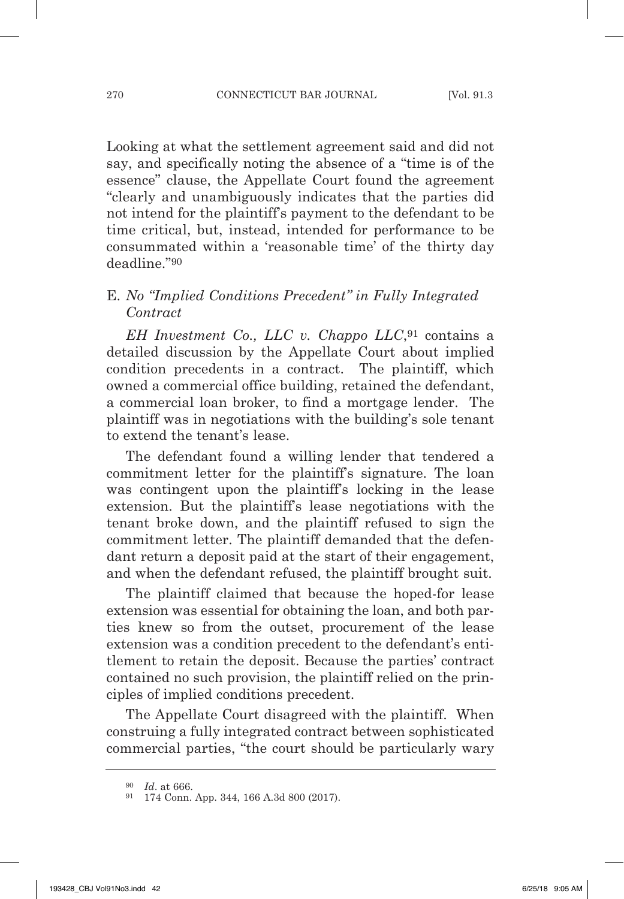Looking at what the settlement agreement said and did not say, and specifically noting the absence of a "time is of the essence" clause, the Appellate Court found the agreement "clearly and unambiguously indicates that the parties did not intend for the plaintiff's payment to the defendant to be time critical, but, instead, intended for performance to be consummated within a 'reasonable time' of the thirty day deadline."90

# E. *no "implied conditions precedent" in Fully integrated contract*

*EH Investment Co., LLC v. Chappo LLC*,<sup>91</sup> contains a detailed discussion by the Appellate Court about implied condition precedents in a contract. The plaintiff, which owned a commercial office building, retained the defendant, a commercial loan broker, to find a mortgage lender. The plaintiff was in negotiations with the building's sole tenant to extend the tenant's lease.

The defendant found a willing lender that tendered a commitment letter for the plaintiff's signature. The loan was contingent upon the plaintiff's locking in the lease extension. But the plaintiff's lease negotiations with the tenant broke down, and the plaintiff refused to sign the commitment letter. The plaintiff demanded that the defendant return a deposit paid at the start of their engagement, and when the defendant refused, the plaintiff brought suit.

The plaintiff claimed that because the hoped-for lease extension was essential for obtaining the loan, and both parties knew so from the outset, procurement of the lease extension was a condition precedent to the defendant's entitlement to retain the deposit. Because the parties' contract contained no such provision, the plaintiff relied on the principles of implied conditions precedent.

The Appellate Court disagreed with the plaintiff. When construing a fully integrated contract between sophisticated commercial parties, "the court should be particularly wary

<sup>90</sup> *id*. at 666.

<sup>91</sup> 174 Conn. App. 344, 166 A.3d 800 (2017).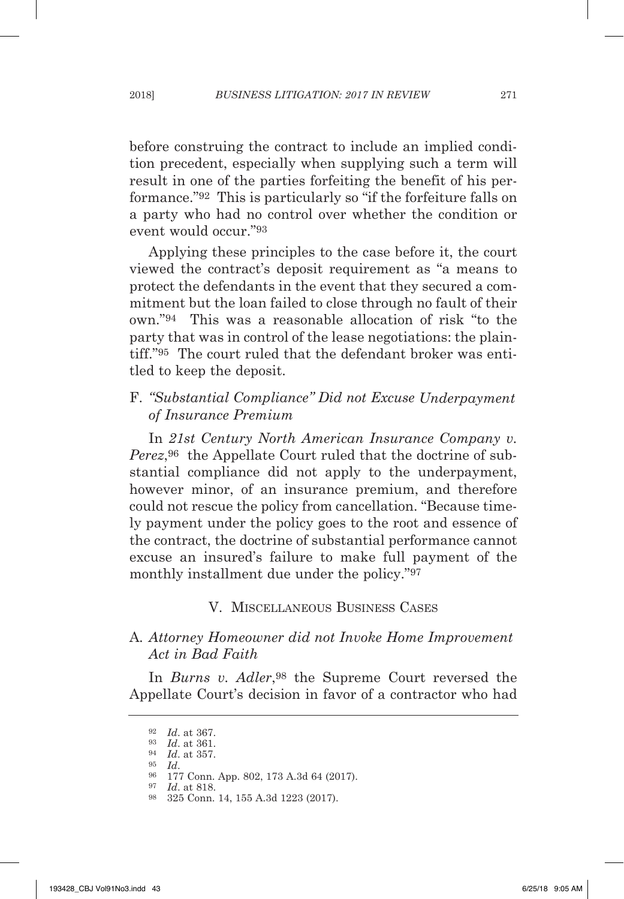before construing the contract to include an implied condition precedent, especially when supplying such a term will result in one of the parties forfeiting the benefit of his performance."92 This is particularly so "if the forfeiture falls on a party who had no control over whether the condition or event would occur."93

Applying these principles to the case before it, the court viewed the contract's deposit requirement as "a means to protect the defendants in the event that they secured a commitment but the loan failed to close through no fault of their own."94 This was a reasonable allocation of risk "to the party that was in control of the lease negotiations: the plaintiff."95 The court ruled that the defendant broker was entitled to keep the deposit.

## F. "Substantial Compliance" Did not Excuse Underpayment *of insurance premium*

In 21st Century North American Insurance Company v. *perez*,96 the Appellate Court ruled that the doctrine of substantial compliance did not apply to the underpayment, however minor, of an insurance premium, and therefore could not rescue the policy from cancellation. "Because timely payment under the policy goes to the root and essence of the contract, the doctrine of substantial performance cannot excuse an insured's failure to make full payment of the monthly installment due under the policy."97

## V. mIsCELLANEOUs BUsINEss CAsEs

## A*. attorney Homeowner did not invoke Home improvement act in Bad Faith*

In *Burns v. Adler*,<sup>98</sup> the Supreme Court reversed the Appellate Court's decision in favor of a contractor who had

<sup>92</sup> *id*. at 367.

<sup>93</sup> *id*. at 361.

<sup>94</sup> *id*. at 357.

<sup>95</sup> *id*.

<sup>96</sup> 177 Conn. App. 802, 173 A.3d 64 (2017).

<sup>97</sup> *id*. at 818.

<sup>98</sup> 325 Conn. 14, 155 A.3d 1223 (2017).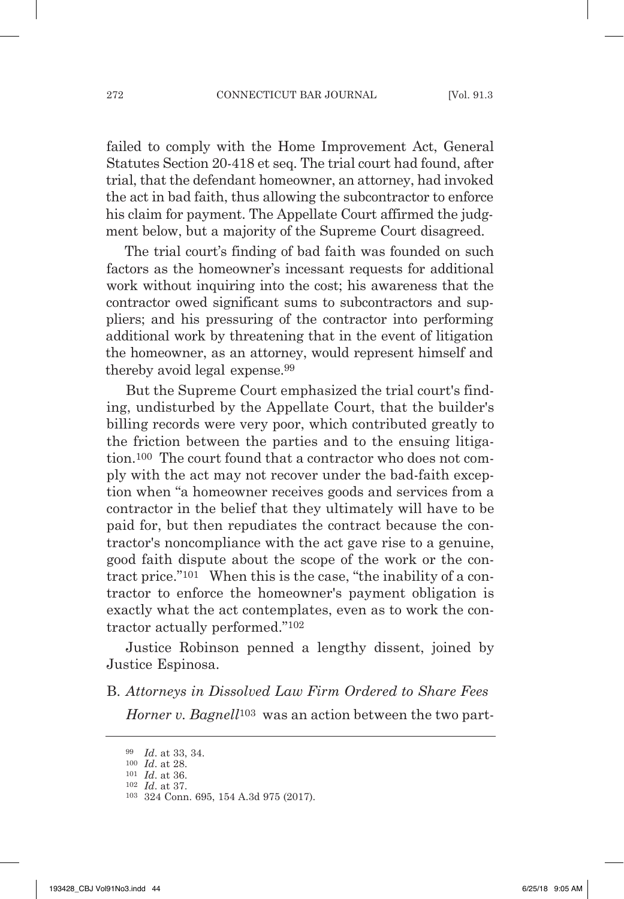failed to comply with the Home Improvement Act, General statutes section 20-418 et seq. The trial court had found, after trial, that the defendant homeowner, an attorney, had invoked the act in bad faith, thus allowing the subcontractor to enforce his claim for payment. The Appellate Court affirmed the judgment below, but a majority of the Supreme Court disagreed.

The trial court's finding of bad faith was founded on such factors as the homeowner's incessant requests for additional work without inquiring into the cost; his awareness that the contractor owed significant sums to subcontractors and suppliers; and his pressuring of the contractor into performing additional work by threatening that in the event of litigation the homeowner, as an attorney, would represent himself and thereby avoid legal expense.99

But the Supreme Court emphasized the trial court's finding, undisturbed by the Appellate Court, that the builder's billing records were very poor, which contributed greatly to the friction between the parties and to the ensuing litigation.100 The court found that a contractor who does not comply with the act may not recover under the bad-faith exception when "a homeowner receives goods and services from a contractor in the belief that they ultimately will have to be paid for, but then repudiates the contract because the contractor's noncompliance with the act gave rise to a genuine, good faith dispute about the scope of the work or the contract price."101 When this is the case, "the inability of a contractor to enforce the homeowner's payment obligation is exactly what the act contemplates, even as to work the contractor actually performed."102

Justice Robinson penned a lengthy dissent, joined by Justice Espinosa.

B. *attorneys in Dissolved law Firm ordered to Share Fees Horner v. Bagnell*<sup>103</sup> was an action between the two part-

<sup>99</sup> *id*. at 33, 34.

<sup>100</sup> *id*. at 28.

<sup>101</sup> *id*. at 36. <sup>102</sup> *id*. at 37.

<sup>103</sup> 324 Conn. 695, 154 A.3d 975 (2017).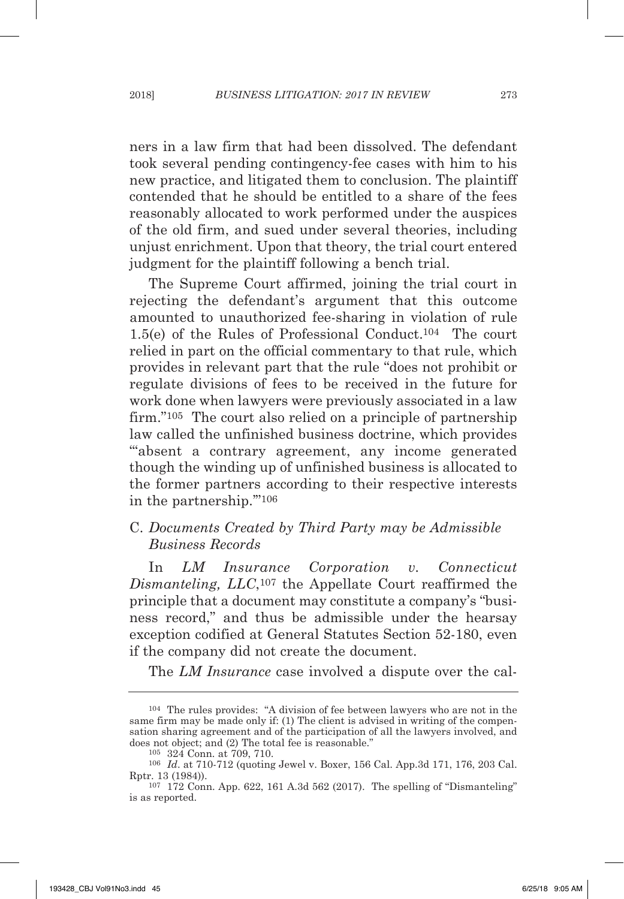ners in a law firm that had been dissolved. The defendant took several pending contingency-fee cases with him to his new practice, and litigated them to conclusion. The plaintiff contended that he should be entitled to a share of the fees reasonably allocated to work performed under the auspices of the old firm, and sued under several theories, including unjust enrichment. Upon that theory, the trial court entered judgment for the plaintiff following a bench trial.

The Supreme Court affirmed, joining the trial court in rejecting the defendant's argument that this outcome amounted to unauthorized fee-sharing in violation of rule 1.5(e) of the Rules of Professional Conduct.104 The court relied in part on the official commentary to that rule, which provides in relevant part that the rule "does not prohibit or regulate divisions of fees to be received in the future for work done when lawyers were previously associated in a law firm."105 The court also relied on a principle of partnership law called the unfinished business doctrine, which provides "absent a contrary agreement, any income generated though the winding up of unfinished business is allocated to the former partners according to their respective interests in the partnership.'"106

## C. *Documents created by third party may be admissible Business records*

In *lM insurance corporation v. connecticut Dismanteling, LLC*,<sup>107</sup> the Appellate Court reaffirmed the principle that a document may constitute a company's "business record," and thus be admissible under the hearsay exception codified at General Statutes Section 52-180, even if the company did not create the document.

The *lM insurance* case involved a dispute over the cal-

<sup>104</sup> The rules provides: "A division of fee between lawyers who are not in the same firm may be made only if: (1) The client is advised in writing of the compensation sharing agreement and of the participation of all the lawyers involved, and does not object; and (2) The total fee is reasonable."

<sup>105</sup> 324 Conn. at 709, 710.

<sup>106</sup> *id*. at 710-712 (quoting Jewel v. Boxer, 156 Cal. App.3d 171, 176, 203 Cal. Rptr. 13 (1984)).

 $107$  172 Conn. App. 622, 161 A.3d 562 (2017). The spelling of "Dismanteling" is as reported.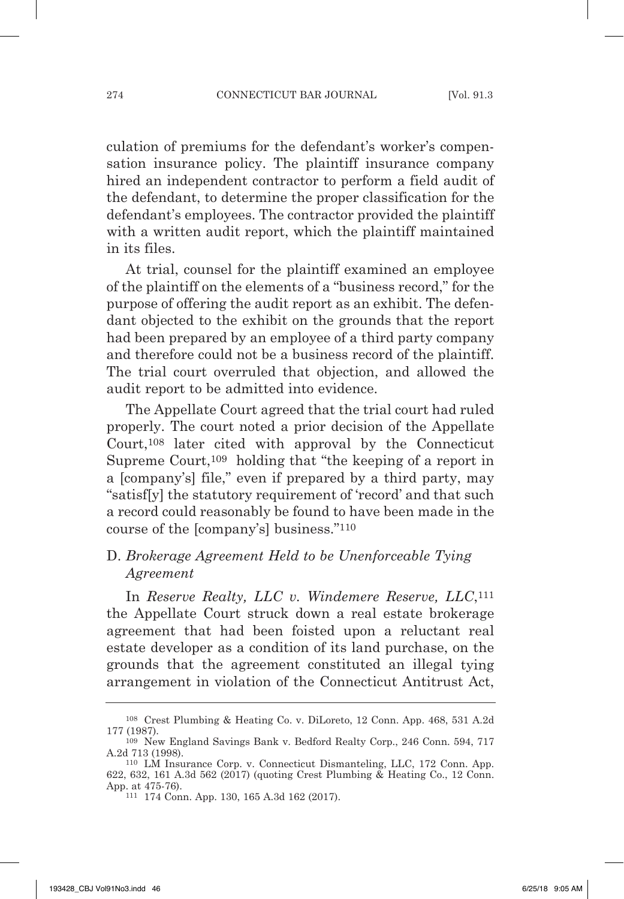culation of premiums for the defendant's worker's compensation insurance policy. The plaintiff insurance company hired an independent contractor to perform a field audit of the defendant, to determine the proper classification for the defendant's employees. The contractor provided the plaintiff with a written audit report, which the plaintiff maintained in its files.

At trial, counsel for the plaintiff examined an employee of the plaintiff on the elements of a "business record," for the purpose of offering the audit report as an exhibit. The defendant objected to the exhibit on the grounds that the report had been prepared by an employee of a third party company and therefore could not be a business record of the plaintiff. The trial court overruled that objection, and allowed the audit report to be admitted into evidence.

The Appellate Court agreed that the trial court had ruled properly. The court noted a prior decision of the Appellate Court,108 later cited with approval by the Connecticut Supreme Court,<sup>109</sup> holding that "the keeping of a report in a [company's] file," even if prepared by a third party, may "satisf[y] the statutory requirement of 'record' and that such a record could reasonably be found to have been made in the course of the [company's] business."110

## D. *Brokerage Agreement Held to be Unenforceable Tying agreement*

In *Reserve Realty, LLC v. Windemere Reserve, LLC*,<sup>111</sup> the Appellate Court struck down a real estate brokerage agreement that had been foisted upon a reluctant real estate developer as a condition of its land purchase, on the grounds that the agreement constituted an illegal tying arrangement in violation of the Connecticut Antitrust Act,

<sup>&</sup>lt;sup>108</sup> Crest Plumbing & Heating Co. v. DiLoreto, 12 Conn. App. 468, 531 A.2d 177 (1987).

<sup>&</sup>lt;sup>109</sup> New England Savings Bank v. Bedford Realty Corp., 246 Conn. 594, 717 A.2d 713 (1998).

<sup>110</sup> Lm Insurance Corp. v. Connecticut dismanteling, LLC, 172 Conn. App. 622, 632, 161 A.3d 562 (2017) (quoting Crest Plumbing & Heating Co., 12 Conn. App. at 475-76).

<sup>111</sup> 174 Conn. App. 130, 165 A.3d 162 (2017).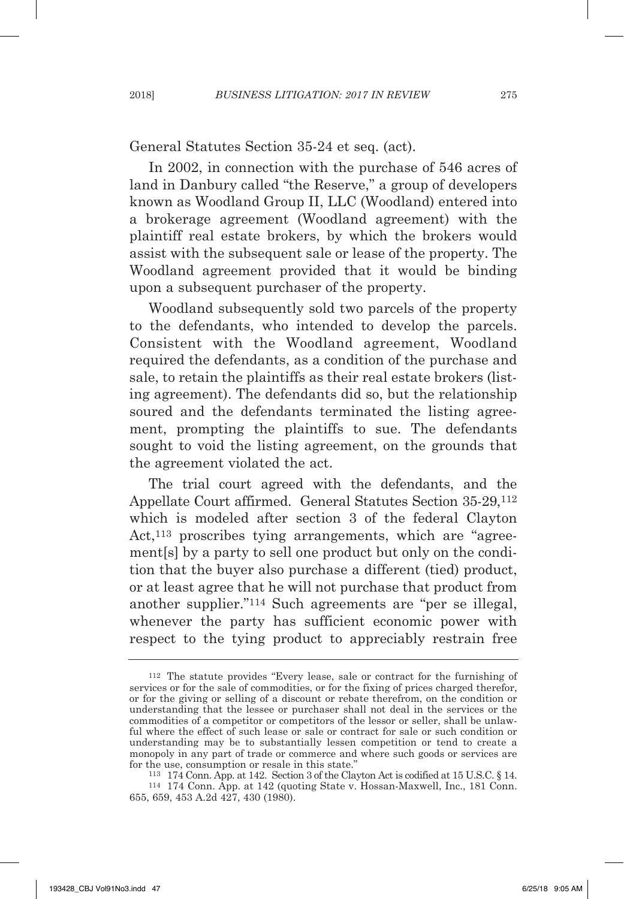General Statutes Section 35-24 et seq. (act).

In 2002, in connection with the purchase of 546 acres of land in Danbury called "the Reserve," a group of developers known as Woodland Group II, LLC (Woodland) entered into a brokerage agreement (Woodland agreement) with the plaintiff real estate brokers, by which the brokers would assist with the subsequent sale or lease of the property. The Woodland agreement provided that it would be binding upon a subsequent purchaser of the property.

Woodland subsequently sold two parcels of the property to the defendants, who intended to develop the parcels. Consistent with the Woodland agreement, Woodland required the defendants, as a condition of the purchase and sale, to retain the plaintiffs as their real estate brokers (listing agreement). The defendants did so, but the relationship soured and the defendants terminated the listing agreement, prompting the plaintiffs to sue. The defendants sought to void the listing agreement, on the grounds that the agreement violated the act.

The trial court agreed with the defendants, and the Appellate Court affirmed. General Statutes Section 35-29,<sup>112</sup> which is modeled after section 3 of the federal Clayton Act,<sup>113</sup> proscribes tying arrangements, which are "agreement[s] by a party to sell one product but only on the condition that the buyer also purchase a different (tied) product, or at least agree that he will not purchase that product from another supplier."<sup>114</sup> Such agreements are "per se illegal, whenever the party has sufficient economic power with respect to the tying product to appreciably restrain free

<sup>112</sup> The statute provides "Every lease, sale or contract for the furnishing of services or for the sale of commodities, or for the fixing of prices charged therefor, or for the giving or selling of a discount or rebate therefrom, on the condition or understanding that the lessee or purchaser shall not deal in the services or the commodities of a competitor or competitors of the lessor or seller, shall be unlawful where the effect of such lease or sale or contract for sale or such condition or understanding may be to substantially lessen competition or tend to create a monopoly in any part of trade or commerce and where such goods or services are for the use, consumption or resale in this state."

<sup>113</sup> 174 Conn. App. at 142. section 3 of the Clayton Act is codified at 15 U.s.C. § 14. <sup>114</sup> 174 Conn. App. at 142 (quoting state v. Hossan-maxwell, Inc., 181 Conn. 655, 659, 453 A.2d 427, 430 (1980).